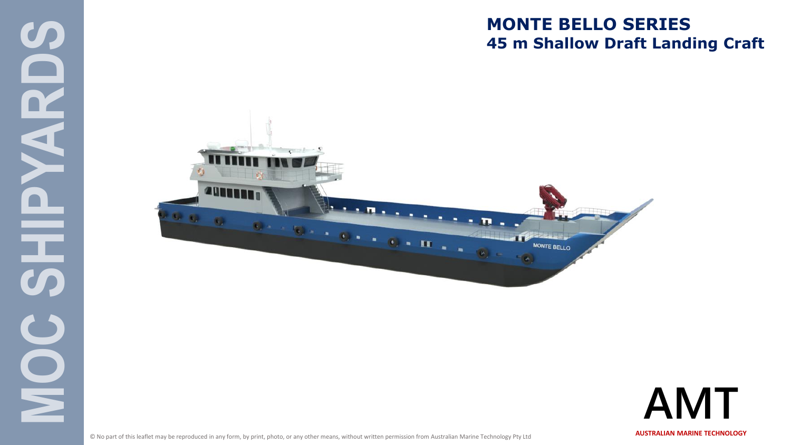### **MONTE BELLO SERIES 45 m Shallow Draft Landing Craft**





© No part of this leaflet may be reproduced in any form, by print, photo, or any other means, without written permission from Australian Marine Technology Pty Ltd **AUSTRALIAN MARINE TECHNOLOGY** 

**MOC SHIPYARDS** 

**UP** 

 $\frac{\mathbf{O}}{\mathbf{E}}$ 

 $\mathbf{\Omega}$ 

4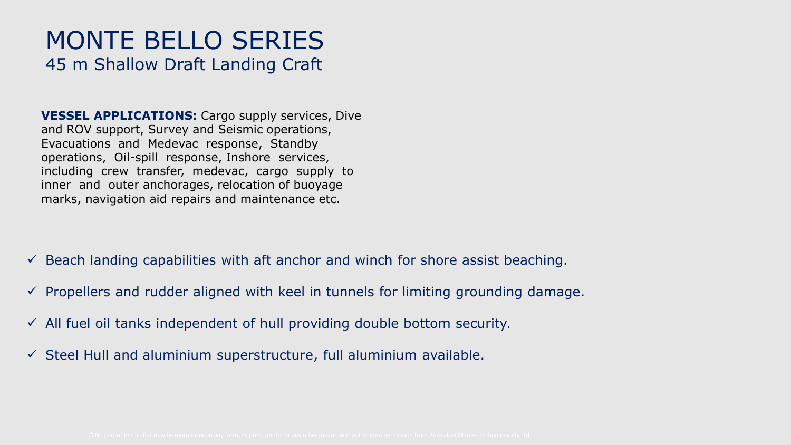### MONTE BELLO SERIES 45 m Shallow Draft Landing Craft

**VESSEL APPLICATIONS:** Cargo supply services, Dive and ROV support, Survey and Seismic operations, Evacuations and Medevac response, Standby operations, Oil-spill response, Inshore services, including crew transfer, medevac, cargo supply to inner and outer anchorages, relocation of buoyage marks, navigation aid repairs and maintenance etc.

- $\checkmark$  Beach landing capabilities with aft anchor and winch for shore assist beaching.
- $\checkmark$  Propellers and rudder aligned with keel in tunnels for limiting grounding damage.
- $\checkmark$  All fuel oil tanks independent of hull providing double bottom security.
- $\checkmark$  Steel Hull and aluminium superstructure, full aluminium available.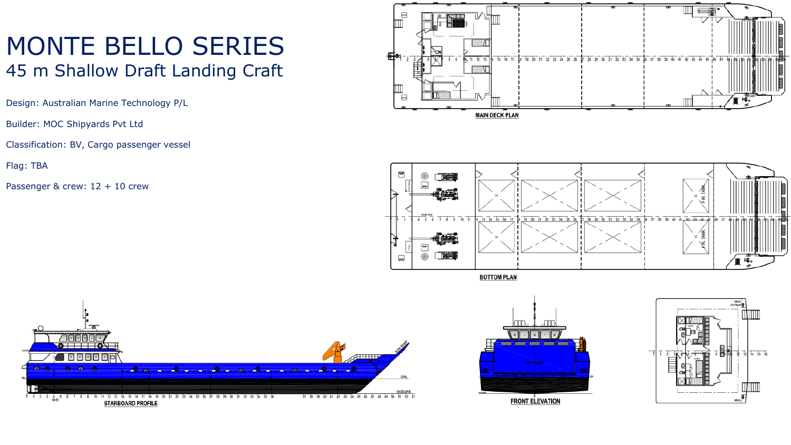### MONTE BELLO SERIES 45 m Shallow Draft Landing Craft

Design: Australian Marine Technology P/L

Builder: MOC Shipyards Pvt Ltd

Classification: BV, Cargo passenger vessel

Flag: TBA

Passenger & crew:  $12 + 10$  crew





**Rd** 6 <mark>. எ. . . .</mark> . . . 2 a richmond a submission de  $-9$  $\frac{4}{\text{RHD}}$  $f + 23$ **FRONT ELEVATION STARBOARD PROFILE** 

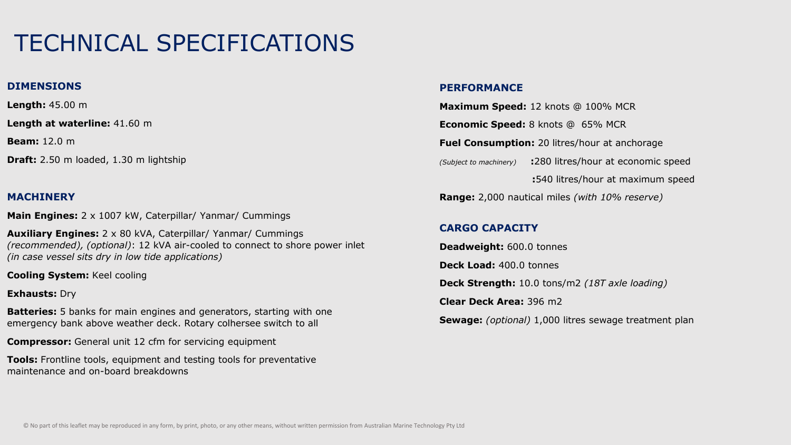#### **DIMENSIONS**

**Length:** 45.00 m

**Length at waterline:** 41.60 m

**Beam:** 12.0 m

**Draft:** 2.50 m loaded, 1.30 m lightship

#### **MACHINERY**

**Main Engines:** 2 x 1007 kW, Caterpillar/ Yanmar/ Cummings

**Auxiliary Engines:** 2 x 80 kVA, Caterpillar/ Yanmar/ Cummings *(recommended), (optional)*: 12 kVA air-cooled to connect to shore power inlet *(in case vessel sits dry in low tide applications)*

**Cooling System:** Keel cooling

#### **Exhausts:** Dry

**Batteries:** 5 banks for main engines and generators, starting with one emergency bank above weather deck. Rotary colhersee switch to all

**Compressor:** General unit 12 cfm for servicing equipment

**Tools:** Frontline tools, equipment and testing tools for preventative maintenance and on-board breakdowns

#### **PERFORMANCE**

**Maximum Speed:** 12 knots @ 100% MCR **Economic Speed:** 8 knots @ 65% MCR **Fuel Consumption:** 20 litres/hour at anchorage *(Subject to machinery)* **:**280 litres/hour at economic speed **:**540 litres/hour at maximum speed **Range:** 2,000 nautical miles *(with 10% reserve)*

#### **CARGO CAPACITY**

**Deadweight:** 600.0 tonnes **Deck Load:** 400.0 tonnes **Deck Strength:** 10.0 tons/m2 *(18T axle loading)* **Clear Deck Area:** 396 m2 **Sewage:** *(optional)* 1,000 litres sewage treatment plan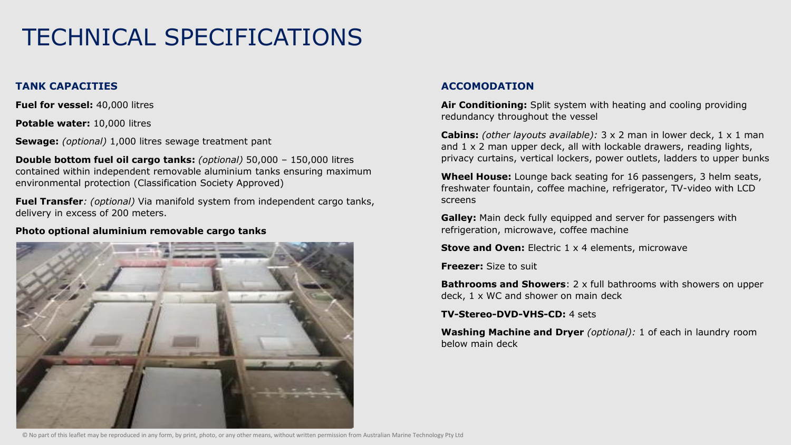#### **TANK CAPACITIES**

**Fuel for vessel:** 40,000 litres

**Potable water:** 10,000 litres

**Sewage:** *(optional)* 1,000 litres sewage treatment pant

**Double bottom fuel oil cargo tanks:** *(optional)* 50,000 – 150,000 litres contained within independent removable aluminium tanks ensuring maximum environmental protection (Classification Society Approved)

**Fuel Transfer***: (optional)* Via manifold system from independent cargo tanks, delivery in excess of 200 meters.

#### **Photo optional aluminium removable cargo tanks**



#### **ACCOMODATION**

**Air Conditioning:** Split system with heating and cooling providing redundancy throughout the vessel

**Cabins:** *(other layouts available):* 3 x 2 man in lower deck, 1 x 1 man and  $1 \times 2$  man upper deck, all with lockable drawers, reading lights, privacy curtains, vertical lockers, power outlets, ladders to upper bunks

**Wheel House:** Lounge back seating for 16 passengers, 3 helm seats, freshwater fountain, coffee machine, refrigerator, TV-video with LCD screens

**Galley:** Main deck fully equipped and server for passengers with refrigeration, microwave, coffee machine

**Stove and Oven:** Electric 1 x 4 elements, microwave

**Freezer:** Size to suit

**Bathrooms and Showers**: 2 x full bathrooms with showers on upper deck, 1 x WC and shower on main deck

**TV-Stereo-DVD-VHS-CD:** 4 sets

**Washing Machine and Dryer** *(optional):* 1 of each in laundry room below main deck

© No part of this leaflet may be reproduced in any form, by print, photo, or any other means, without written permission from Australian Marine Technology Pty Ltd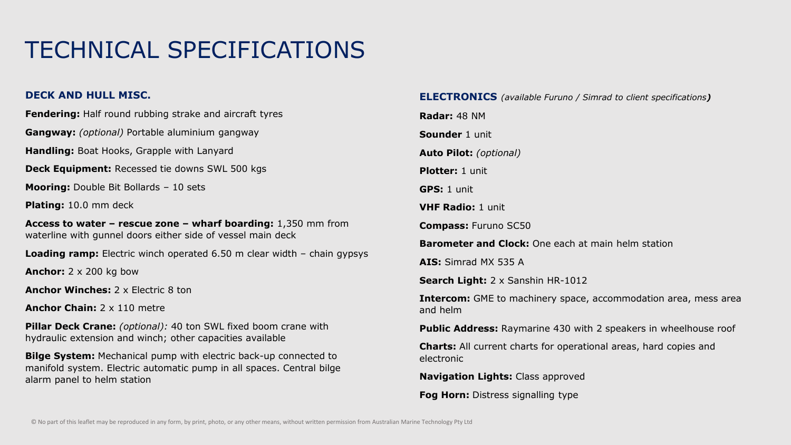#### **DECK AND HULL MISC.**

**Fendering:** Half round rubbing strake and aircraft tyres

**Gangway:** *(optional)* Portable aluminium gangway

**Handling:** Boat Hooks, Grapple with Lanyard

**Deck Equipment:** Recessed tie downs SWL 500 kgs

**Mooring:** Double Bit Bollards – 10 sets

**Plating:** 10.0 mm deck

**Access to water – rescue zone – wharf boarding:** 1,350 mm from waterline with gunnel doors either side of vessel main deck

**Loading ramp:** Electric winch operated 6.50 m clear width – chain gypsys

**Anchor:** 2 x 200 kg bow

**Anchor Winches:** 2 x Electric 8 ton

**Anchor Chain:** 2 x 110 metre

**Pillar Deck Crane:** *(optional):* 40 ton SWL fixed boom crane with hydraulic extension and winch; other capacities available

**Bilge System:** Mechanical pump with electric back-up connected to manifold system. Electric automatic pump in all spaces. Central bilge alarm panel to helm station

#### **ELECTRONICS** *(available Furuno / Simrad to client specifications)*

**Radar:** 48 NM **Sounder** 1 unit **Auto Pilot:** *(optional)* **Plotter:** 1 unit **GPS:** 1 unit **VHF Radio:** 1 unit **Compass:** Furuno SC50 **Barometer and Clock:** One each at main helm station **AIS:** Simrad MX 535 A **Search Light:** 2 x Sanshin HR-1012 **Intercom:** GME to machinery space, accommodation area, mess area and helm **Public Address:** Raymarine 430 with 2 speakers in wheelhouse roof **Charts:** All current charts for operational areas, hard copies and

electronic

**Navigation Lights:** Class approved

**Fog Horn:** Distress signalling type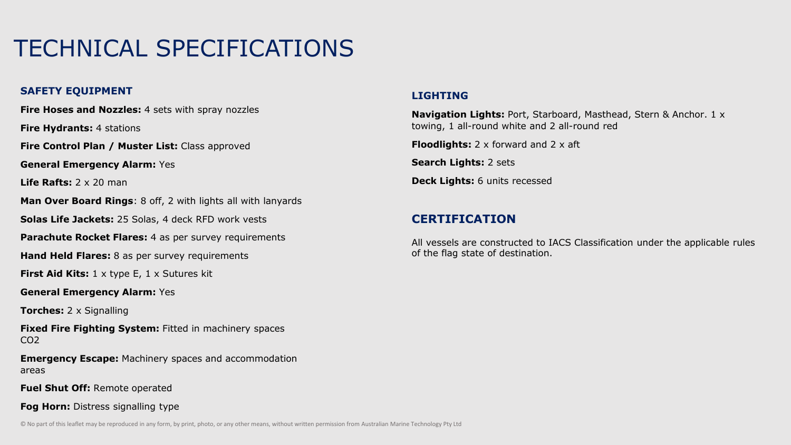#### **SAFETY EQUIPMENT**

**Fire Hoses and Nozzles:** 4 sets with spray nozzles

**Fire Hydrants:** 4 stations

**Fire Control Plan / Muster List:** Class approved

**General Emergency Alarm:** Yes

**Life Rafts:** 2 x 20 man

**Man Over Board Rings**: 8 off, 2 with lights all with lanyards

**Solas Life Jackets:** 25 Solas, 4 deck RFD work vests

**Parachute Rocket Flares:** 4 as per survey requirements

**Hand Held Flares:** 8 as per survey requirements

**First Aid Kits:** 1 x type E, 1 x Sutures kit

**General Emergency Alarm:** Yes

**Torches:** 2 x Signalling

**Fixed Fire Fighting System:** Fitted in machinery spaces CO2

**Emergency Escape:** Machinery spaces and accommodation areas

**Fuel Shut Off:** Remote operated

**Fog Horn:** Distress signalling type

#### **LIGHTING**

**Navigation Lights:** Port, Starboard, Masthead, Stern & Anchor. 1 x towing, 1 all-round white and 2 all-round red

**Floodlights:** 2 x forward and 2 x aft

**Search Lights:** 2 sets

**Deck Lights:** 6 units recessed

#### **CERTIFICATION**

All vessels are constructed to IACS Classification under the applicable rules of the flag state of destination.